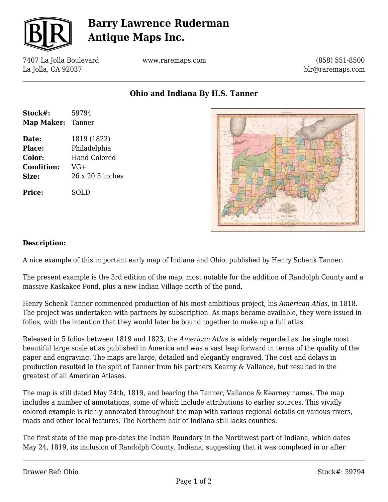

# **Barry Lawrence Ruderman Antique Maps Inc.**

7407 La Jolla Boulevard La Jolla, CA 92037

www.raremaps.com

(858) 551-8500 blr@raremaps.com

**Ohio and Indiana By H.S. Tanner**

| Stock#:                  | 59794               |
|--------------------------|---------------------|
| <b>Map Maker: Tanner</b> |                     |
| Date:                    | 1819 (1822)         |
| Place:                   | Philadelphia        |
| Color:                   | <b>Hand Colored</b> |
| <b>Condition:</b>        | $VG+$               |
| Size:                    | 26 x 20.5 inches    |
| Price:                   | SOLD                |



#### **Description:**

A nice example of this important early map of Indiana and Ohio, published by Henry Schenk Tanner.

The present example is the 3rd edition of the map, most notable for the addition of Randolph County and a massive Kaskakee Pond, plus a new Indian Village north of the pond.

Henry Schenk Tanner commenced production of his most ambitious project, his *American Atlas*, in 1818. The project was undertaken with partners by subscription. As maps became available, they were issued in folios, with the intention that they would later be bound together to make up a full atlas.

Released in 5 folios between 1819 and 1823, the *American Atlas* is widely regarded as the single most beautiful large scale atlas published in America and was a vast leap forward in terms of the quality of the paper and engraving. The maps are large, detailed and elegantly engraved. The cost and delays in production resulted in the split of Tanner from his partners Kearny & Vallance, but resulted in the greatest of all American Atlases.

The map is still dated May 24th, 1819, and bearing the Tanner, Vallance & Kearney names. The map includes a number of annotations, some of which include attributions to earlier sources. This vividly colored example is richly annotated throughout the map with various regional details on various rivers, roads and other local features. The Northern half of Indiana still lacks counties.

The first state of the map pre-dates the Indian Boundary in the Northwest part of Indiana, which dates May 24, 1819, its inclusion of Randolph County, Indiana, suggesting that it was completed in or after